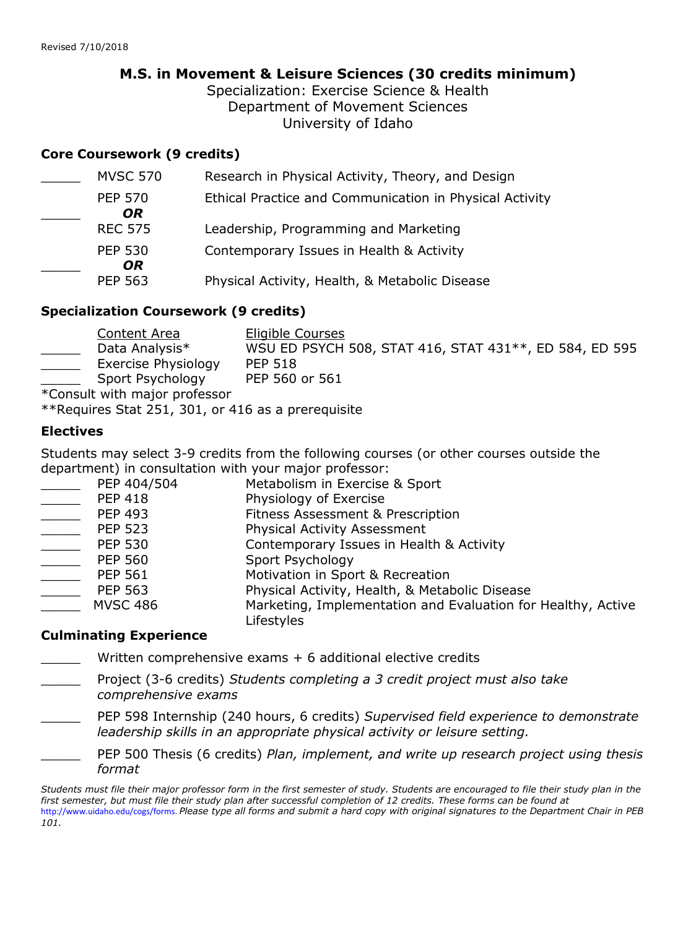# **M.S. in Movement & Leisure Sciences (30 credits minimum)**

Specialization: Exercise Science & Health Department of Movement Sciences University of Idaho

#### **Core Coursework (9 credits)**

| <b>MVSC 570</b>       | Research in Physical Activity, Theory, and Design       |
|-----------------------|---------------------------------------------------------|
| <b>PEP 570</b><br>OR. | Ethical Practice and Communication in Physical Activity |
| <b>REC 575</b>        | Leadership, Programming and Marketing                   |
| <b>PEP 530</b><br>OR. | Contemporary Issues in Health & Activity                |
| <b>PEP 563</b>        | Physical Activity, Health, & Metabolic Disease          |

#### **Specialization Coursework (9 credits)**

|               | Content Area        | Eligible Courses                                       |
|---------------|---------------------|--------------------------------------------------------|
|               | Data Analysis*      | WSU ED PSYCH 508, STAT 416, STAT 431**, ED 584, ED 595 |
|               | Exercise Physiology | <b>PEP 518</b>                                         |
|               | Sport Psychology    | PEP 560 or 561                                         |
| $\sim$ $\sim$ |                     |                                                        |

\*Consult with major professor

\*\*Requires Stat 251, 301, or 416 as a prerequisite

### **Electives**

Students may select 3-9 credits from the following courses (or other courses outside the department) in consultation with your major professor:

| PEP 404/504     | Metabolism in Exercise & Sport                               |
|-----------------|--------------------------------------------------------------|
| <b>PEP 418</b>  | Physiology of Exercise                                       |
| <b>PEP 493</b>  | Fitness Assessment & Prescription                            |
| <b>PEP 523</b>  | <b>Physical Activity Assessment</b>                          |
| <b>PEP 530</b>  | Contemporary Issues in Health & Activity                     |
| <b>PEP 560</b>  | Sport Psychology                                             |
| <b>PEP 561</b>  | Motivation in Sport & Recreation                             |
| <b>PEP 563</b>  | Physical Activity, Health, & Metabolic Disease               |
| <b>MVSC 486</b> | Marketing, Implementation and Evaluation for Healthy, Active |
|                 | Lifestyles                                                   |

### **Culminating Experience**

Written comprehensive exams  $+ 6$  additional elective credits

- \_\_\_\_\_ Project (3-6 credits) *Students completing a 3 credit project must also take comprehensive exams*
- \_\_\_\_\_ PEP 598 Internship (240 hours, 6 credits) *Supervised field experience to demonstrate leadership skills in an appropriate physical activity or leisure setting.*
- \_\_\_\_\_ PEP 500 Thesis (6 credits) *Plan, implement, and write up research project using thesis format*

*Students must file their major professor form in the first semester of study. Students are encouraged to file their study plan in the*  first semester, but must file their study plan after successful completion of 12 credits. These forms can be found at http://www.uidaho.edu/cogs/forms. *Please type all forms and submit a hard copy with original signatures to the Department Chair in PEB 101.*